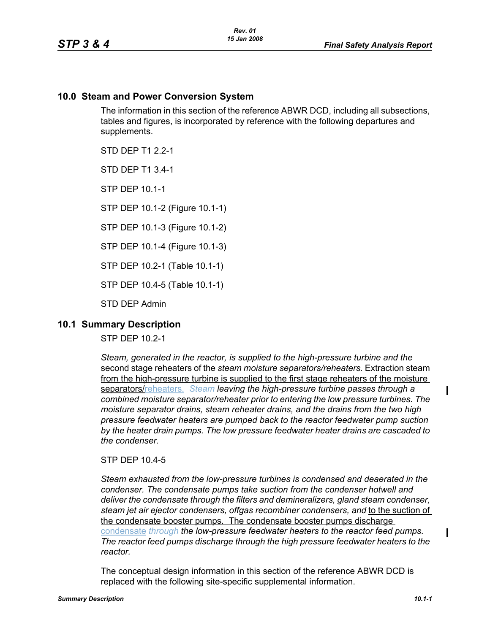## **10.0 Steam and Power Conversion System**

The information in this section of the reference ABWR DCD, including all subsections, tables and figures, is incorporated by reference with the following departures and supplements.

STD DFP T1 2 2-1

STD DEP T1 3.4-1

STP DEP 10.1-1

STP DEP 10.1-2 (Figure 10.1-1)

STP DEP 10.1-3 (Figure 10.1-2)

STP DEP 10.1-4 (Figure 10.1-3)

STP DEP 10.2-1 (Table 10.1-1)

STP DEP 10.4-5 (Table 10.1-1)

STD DEP Admin

## **10.1 Summary Description**

STP DEP 10.2-1

*Steam, generated in the reactor, is supplied to the high-pressure turbine and the*  second stage reheaters of the *steam moisture separators/reheaters.* Extraction steam from the high-pressure turbine is supplied to the first stage reheaters of the moisture separators/reheaters. *Steam leaving the high-pressure turbine passes through a combined moisture separator/reheater prior to entering the low pressure turbines. The moisture separator drains, steam reheater drains, and the drains from the two high pressure feedwater heaters are pumped back to the reactor feedwater pump suction by the heater drain pumps. The low pressure feedwater heater drains are cascaded to the condenser.*

STP DEP 10.4-5

*Steam exhausted from the low-pressure turbines is condensed and deaerated in the condenser. The condensate pumps take suction from the condenser hotwell and deliver the condensate through the filters and demineralizers, gland steam condenser, steam jet air ejector condensers, offgas recombiner condensers, and* to the suction of the condensate booster pumps. The condensate booster pumps discharge condensate *through the low-pressure feedwater heaters to the reactor feed pumps. The reactor feed pumps discharge through the high pressure feedwater heaters to the reactor.*

The conceptual design information in this section of the reference ABWR DCD is replaced with the following site-specific supplemental information.

П

П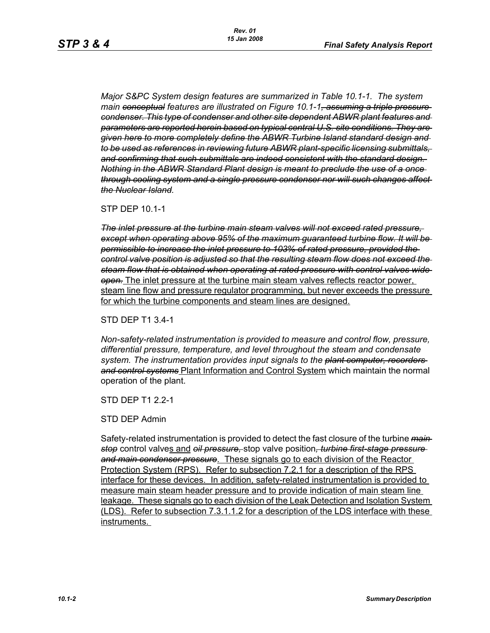*Major S&PC System design features are summarized in Table 10.1-1. The system main conceptual features are illustrated on Figure 10.1-1, assuming a triple pressure condenser. This type of condenser and other site dependent ABWR plant features and parameters are reported herein based on typical central U.S. site conditions. They are given here to more completely define the ABWR Turbine Island standard design and to be used as references in reviewing future ABWR plant-specific licensing submittals, and confirming that such submittals are indeed consistent with the standard design. Nothing in the ABWR Standard Plant design is meant to preclude the use of a once through cooling system and a single pressure condenser nor will such changes affect the Nuclear Island.*

STP DEP 10.1-1

*The inlet pressure at the turbine main steam valves will not exceed rated pressure, except when operating above 95% of the maximum guaranteed turbine flow. It will be permissible to increase the inlet pressure to 103% of rated pressure, provided the control valve position is adjusted so that the resulting steam flow does not exceed the steam flow that is obtained when operating at rated pressure with control valves wide open.* The inlet pressure at the turbine main steam valves reflects reactor power, steam line flow and pressure regulator programming, but never exceeds the pressure for which the turbine components and steam lines are designed.

STD DEP T1 3.4-1

*Non-safety-related instrumentation is provided to measure and control flow, pressure, differential pressure, temperature, and level throughout the steam and condensate system. The instrumentation provides input signals to the plant computer, recorders and control systems* Plant Information and Control System which maintain the normal operation of the plant.

STD DFP T1 2 2-1

STD DEP Admin

Safety-related instrumentation is provided to detect the fast closure of the turbine *main stop* control valves and *oil pressure,* stop valve position*, turbine first-stage pressure and main condenser pressure*. These signals go to each division of the Reactor Protection System (RPS). Refer to subsection 7.2.1 for a description of the RPS interface for these devices. In addition, safety-related instrumentation is provided to measure main steam header pressure and to provide indication of main steam line leakage. These signals go to each division of the Leak Detection and Isolation System (LDS). Refer to subsection 7.3.1.1.2 for a description of the LDS interface with these instruments.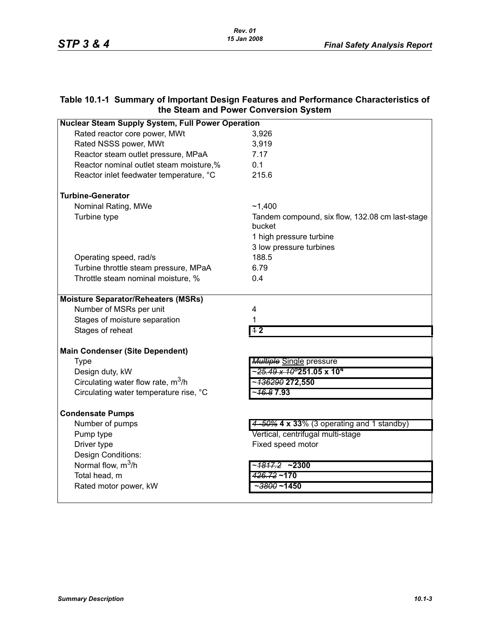# **Table 10.1-1 Summary of Important Design Features and Performance Characteristics of the Steam and Power Conversion System**

| <b>Nuclear Steam Supply System, Full Power Operation</b> |                                                           |  |
|----------------------------------------------------------|-----------------------------------------------------------|--|
| Rated reactor core power, MWt                            | 3,926                                                     |  |
| Rated NSSS power, MWt                                    | 3,919                                                     |  |
| Reactor steam outlet pressure, MPaA                      | 7.17                                                      |  |
| Reactor nominal outlet steam moisture,%                  | 0.1                                                       |  |
| Reactor inlet feedwater temperature, °C                  | 215.6                                                     |  |
| <b>Turbine-Generator</b>                                 |                                                           |  |
| Nominal Rating, MWe                                      | ~1,400                                                    |  |
| Turbine type                                             | Tandem compound, six flow, 132.08 cm last-stage<br>bucket |  |
|                                                          | 1 high pressure turbine                                   |  |
|                                                          | 3 low pressure turbines                                   |  |
| Operating speed, rad/s                                   | 188.5                                                     |  |
| Turbine throttle steam pressure, MPaA                    | 6.79                                                      |  |
| Throttle steam nominal moisture, %                       | 0.4                                                       |  |
| <b>Moisture Separator/Reheaters (MSRs)</b>               |                                                           |  |
| Number of MSRs per unit                                  | 4                                                         |  |
| Stages of moisture separation                            | 1                                                         |  |
| Stages of reheat                                         | 12                                                        |  |
| <b>Main Condenser (Site Dependent)</b>                   |                                                           |  |
| <b>Type</b>                                              | <b>Multiple Single pressure</b>                           |  |
| Design duty, kW                                          | ~ <del>25.49 x 10°</del> 251.05 x 10 <del>″</del>         |  |
| Circulating water flow rate, m <sup>3</sup> /h           |                                                           |  |
| Circulating water temperature rise, °C                   | ~ <del>16.8</del> 7.93                                    |  |
| <b>Condensate Pumps</b>                                  |                                                           |  |
| Number of pumps                                          | 4-50% 4 x 33% (3 operating and 1 standby)                 |  |
| Pump type                                                | Vertical, centrifugal multi-stage                         |  |
| Driver type                                              | Fixed speed motor                                         |  |
| Design Conditions:                                       |                                                           |  |
| Normal flow, $m^3/h$                                     | ~ <del>1817.2</del> <b>~2300</b>                          |  |
| Total head, m                                            | $426.72 - 170$                                            |  |
| Rated motor power, kW                                    | ~ <del>3800</del> ~1450                                   |  |
|                                                          |                                                           |  |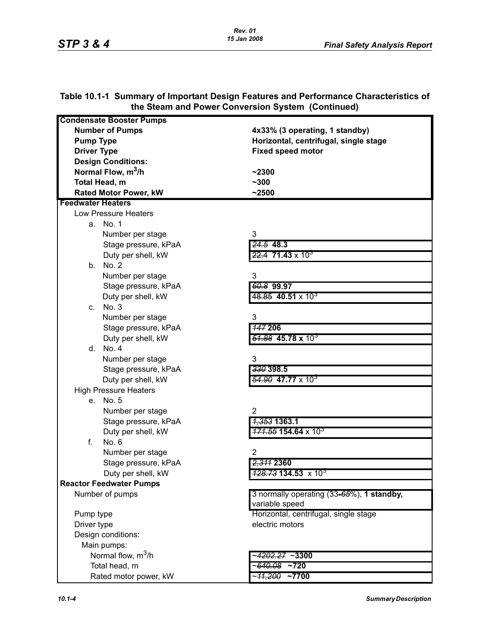|                                 | the Steam and Fower Conversion System (Continued) |
|---------------------------------|---------------------------------------------------|
| <b>Condensate Booster Pumps</b> |                                                   |
| <b>Number of Pumps</b>          | 4x33% (3 operating, 1 standby)                    |
| <b>Pump Type</b>                | Horizontal, centrifugal, single stage             |
| <b>Driver Type</b>              | <b>Fixed speed motor</b>                          |
| <b>Design Conditions:</b>       |                                                   |
| Normal Flow, m <sup>3</sup> /h  | $-2300$                                           |
| Total Head, m                   | $-300$                                            |
| <b>Rated Motor Power, kW</b>    | ~12500                                            |
| <b>Feedwater Heaters</b>        |                                                   |
| Low Pressure Heaters            |                                                   |
| a. No. 1                        |                                                   |
| Number per stage                | 3                                                 |
| Stage pressure, kPaA            | $24.5$ 48.3                                       |
| Duty per shell, kW              | $22.4$ 71.43 x 10 <sup>3</sup>                    |
| b. No. 2                        |                                                   |
| Number per stage                | 3                                                 |
| Stage pressure, kPaA            | 60.8 99.97                                        |
| Duty per shell, kW              | $48.85$ 40.51 x 10 <sup>3</sup>                   |
| No. 3<br>C.                     |                                                   |
| Number per stage                | 3                                                 |
| Stage pressure, kPaA            | <b>147 206</b>                                    |
| Duty per shell, kW              | $\frac{51.88}{2}$ 45.78 x 10 <sup>3</sup>         |
| d. No. 4                        |                                                   |
| Number per stage                | 3                                                 |
| Stage pressure, kPaA            | 330 398.5                                         |
| Duty per shell, kW              | <del>54.90</del> 47.77 x 10 <sup>3</sup>          |
| <b>High Pressure Heaters</b>    |                                                   |
| e. No. 5                        |                                                   |
| Number per stage                | $\overline{2}$                                    |
| Stage pressure, kPaA            | <del>1,353</del> 1363.1                           |
| Duty per shell, kW              |                                                   |
| f.<br>No. 6                     |                                                   |
| Number per stage                | $\overline{2}$                                    |
| Stage pressure, kPaA            | 2,311 2360                                        |
| Duty per shell, kW              | $\frac{428.73}{134.53}$ x 10 <sup>3</sup>         |
| <b>Reactor Feedwater Pumps</b>  |                                                   |
| Number of pumps                 | 3 normally operating (33-65%), 1 standby,         |
|                                 | variable speed                                    |
| Pump type                       | Horizontal, centrifugal, single stage             |
| Driver type                     | electric motors                                   |
| Design conditions:              |                                                   |
| Main pumps:                     |                                                   |
| Normal flow, m <sup>3</sup> /h  | ~ <del>4202.27</del> ~3300                        |
| Total head, m                   | - <del>640.08</del><br>$~1$ $~1$                  |
| Rated motor power, kW           | ~ <del>11,200</del><br>$~1$ $~7700$               |

#### **Table 10.1-1 Summary of Important Design Features and Performance Characteristics of the Steam and Power Conversion System (Continued)**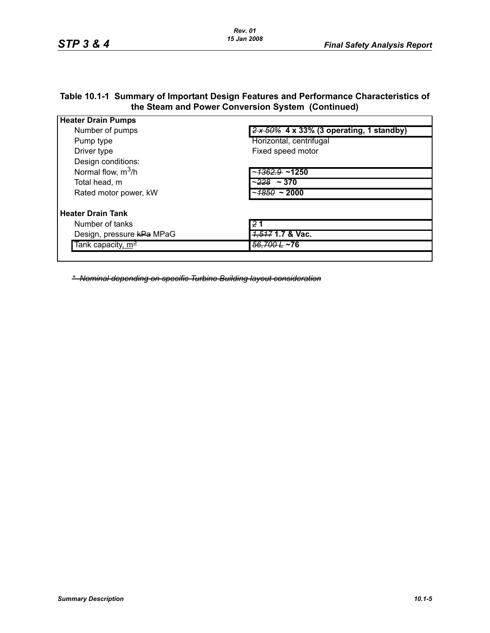### **Table 10.1-1 Summary of Important Design Features and Performance Characteristics of the Steam and Power Conversion System (Continued)**

| <b>Heater Drain Pumps</b>     |                                                                        |
|-------------------------------|------------------------------------------------------------------------|
| Number of pumps               | $\frac{2 \times 50\%}{2 \times 50\%}$ 4 x 33% (3 operating, 1 standby) |
| Pump type                     | Horizontal, centrifugal                                                |
| Driver type                   | Fixed speed motor                                                      |
| Design conditions:            |                                                                        |
| Normal flow, $m^3/h$          | ~ <del>1362.9</del> ~1250                                              |
| Total head, m                 | ~ <del>228</del> ~ 370                                                 |
| Rated motor power, kW         | ~ <del>1850</del> ~ 2000                                               |
| <b>Heater Drain Tank</b>      |                                                                        |
| Number of tanks               | 2 <sub>1</sub>                                                         |
| Design, pressure kPa MPaG     | <del>1,517</del> 1.7 & Vac.                                            |
| Tank capacity, m <sup>2</sup> | <del>56.700 L</del> ~76                                                |
|                               |                                                                        |

*\* Nominal depending on specific Turbine Building layout consideration*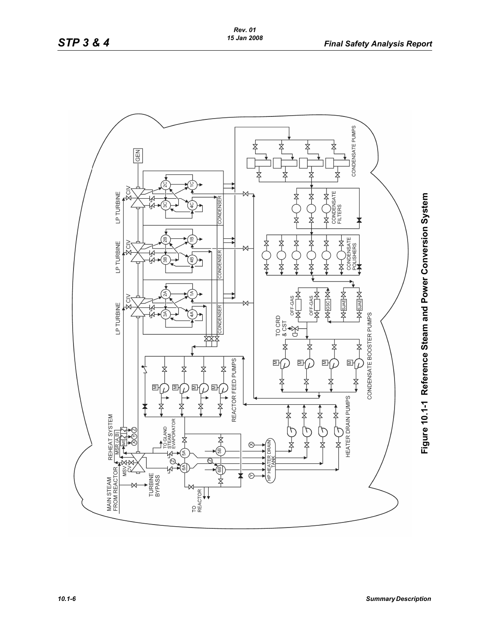

Figure 10.1-1 Reference Steam and Power Conversion System **Figure 10.1-1 Reference Steam and Power Conversion System**